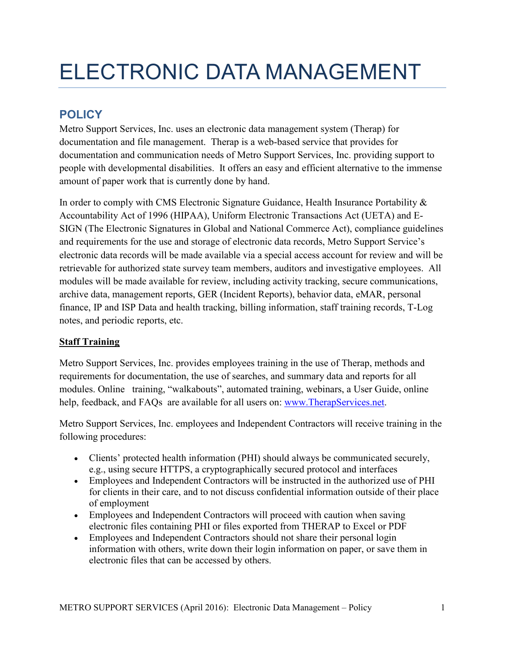# ELECTRONIC DATA MANAGEMENT

# **POLICY**

Metro Support Services, Inc. uses an electronic data management system (Therap) for documentation and file management. Therap is a web-based service that provides for documentation and communication needs of Metro Support Services, Inc. providing support to people with developmental disabilities. It offers an easy and efficient alternative to the immense amount of paper work that is currently done by hand.

In order to comply with CMS Electronic Signature Guidance, Health Insurance Portability & Accountability Act of 1996 (HIPAA), Uniform Electronic Transactions Act (UETA) and E-SIGN (The Electronic Signatures in Global and National Commerce Act), compliance guidelines and requirements for the use and storage of electronic data records, Metro Support Service's electronic data records will be made available via a special access account for review and will be retrievable for authorized state survey team members, auditors and investigative employees. All modules will be made available for review, including activity tracking, secure communications, archive data, management reports, GER (Incident Reports), behavior data, eMAR, personal finance, IP and ISP Data and health tracking, billing information, staff training records, T-Log notes, and periodic reports, etc.

## **Staff Training**

Metro Support Services, Inc. provides employees training in the use of Therap, methods and requirements for documentation, the use of searches, and summary data and reports for all modules. Online training, "walkabouts", automated training, webinars, a User Guide, online help, feedback, and FAQs are available for all users on: www.TherapServices.net.

Metro Support Services, Inc. employees and Independent Contractors will receive training in the following procedures:

- Clients' protected health information (PHI) should always be communicated securely, e.g., using secure HTTPS, a cryptographically secured protocol and interfaces
- Employees and Independent Contractors will be instructed in the authorized use of PHI for clients in their care, and to not discuss confidential information outside of their place of employment
- Employees and Independent Contractors will proceed with caution when saving electronic files containing PHI or files exported from THERAP to Excel or PDF
- Employees and Independent Contractors should not share their personal login information with others, write down their login information on paper, or save them in electronic files that can be accessed by others.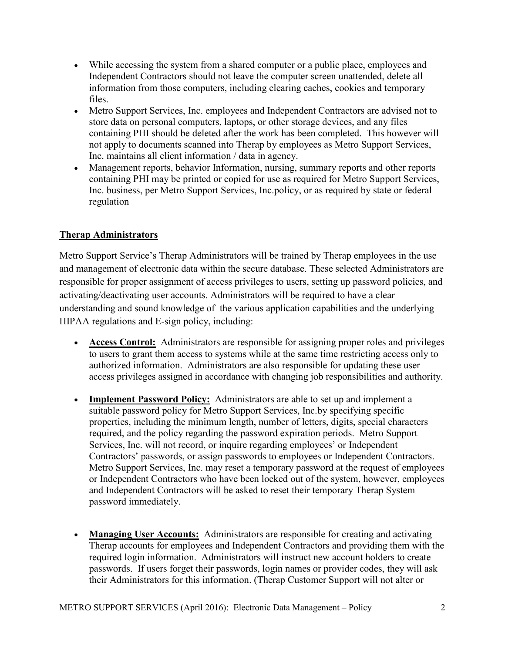- While accessing the system from a shared computer or a public place, employees and Independent Contractors should not leave the computer screen unattended, delete all information from those computers, including clearing caches, cookies and temporary files.
- Metro Support Services, Inc. employees and Independent Contractors are advised not to store data on personal computers, laptops, or other storage devices, and any files containing PHI should be deleted after the work has been completed. This however will not apply to documents scanned into Therap by employees as Metro Support Services, Inc. maintains all client information / data in agency.
- Management reports, behavior Information, nursing, summary reports and other reports containing PHI may be printed or copied for use as required for Metro Support Services, Inc. business, per Metro Support Services, Inc.policy, or as required by state or federal regulation

### **Therap Administrators**

Metro Support Service's Therap Administrators will be trained by Therap employees in the use and management of electronic data within the secure database. These selected Administrators are responsible for proper assignment of access privileges to users, setting up password policies, and activating/deactivating user accounts. Administrators will be required to have a clear understanding and sound knowledge of the various application capabilities and the underlying HIPAA regulations and E-sign policy, including:

- **Access Control:** Administrators are responsible for assigning proper roles and privileges to users to grant them access to systems while at the same time restricting access only to authorized information. Administrators are also responsible for updating these user access privileges assigned in accordance with changing job responsibilities and authority.
- **Implement Password Policy:** Administrators are able to set up and implement a suitable password policy for Metro Support Services, Inc.by specifying specific properties, including the minimum length, number of letters, digits, special characters required, and the policy regarding the password expiration periods. Metro Support Services, Inc. will not record, or inquire regarding employees' or Independent Contractors' passwords, or assign passwords to employees or Independent Contractors. Metro Support Services, Inc. may reset a temporary password at the request of employees or Independent Contractors who have been locked out of the system, however, employees and Independent Contractors will be asked to reset their temporary Therap System password immediately.
- **Managing User Accounts:** Administrators are responsible for creating and activating Therap accounts for employees and Independent Contractors and providing them with the required login information. Administrators will instruct new account holders to create passwords. If users forget their passwords, login names or provider codes, they will ask their Administrators for this information. (Therap Customer Support will not alter or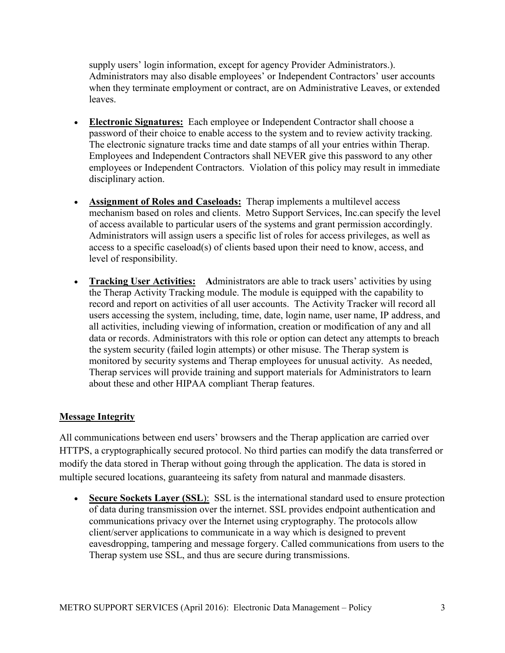supply users' login information, except for agency Provider Administrators.). Administrators may also disable employees' or Independent Contractors' user accounts when they terminate employment or contract, are on Administrative Leaves, or extended leaves.

- **Electronic Signatures:** Each employee or Independent Contractor shall choose a password of their choice to enable access to the system and to review activity tracking. The electronic signature tracks time and date stamps of all your entries within Therap. Employees and Independent Contractors shall NEVER give this password to any other employees or Independent Contractors. Violation of this policy may result in immediate disciplinary action.
- **Assignment of Roles and Caseloads:** Therap implements a multilevel access mechanism based on roles and clients. Metro Support Services, Inc.can specify the level of access available to particular users of the systems and grant permission accordingly. Administrators will assign users a specific list of roles for access privileges, as well as access to a specific caseload(s) of clients based upon their need to know, access, and level of responsibility.
- **Tracking User Activities:** Administrators are able to track users' activities by using the Therap Activity Tracking module. The module is equipped with the capability to record and report on activities of all user accounts. The Activity Tracker will record all users accessing the system, including, time, date, login name, user name, IP address, and all activities, including viewing of information, creation or modification of any and all data or records. Administrators with this role or option can detect any attempts to breach the system security (failed login attempts) or other misuse. The Therap system is monitored by security systems and Therap employees for unusual activity. As needed, Therap services will provide training and support materials for Administrators to learn about these and other HIPAA compliant Therap features.

#### **Message Integrity**

All communications between end users' browsers and the Therap application are carried over HTTPS, a cryptographically secured protocol. No third parties can modify the data transferred or modify the data stored in Therap without going through the application. The data is stored in multiple secured locations, guaranteeing its safety from natural and manmade disasters.

• **Secure Sockets Layer (SSL**): SSL is the international standard used to ensure protection of data during transmission over the internet. SSL provides endpoint authentication and communications privacy over the Internet using cryptography. The protocols allow client/server applications to communicate in a way which is designed to prevent eavesdropping, tampering and message forgery. Called communications from users to the Therap system use SSL, and thus are secure during transmissions.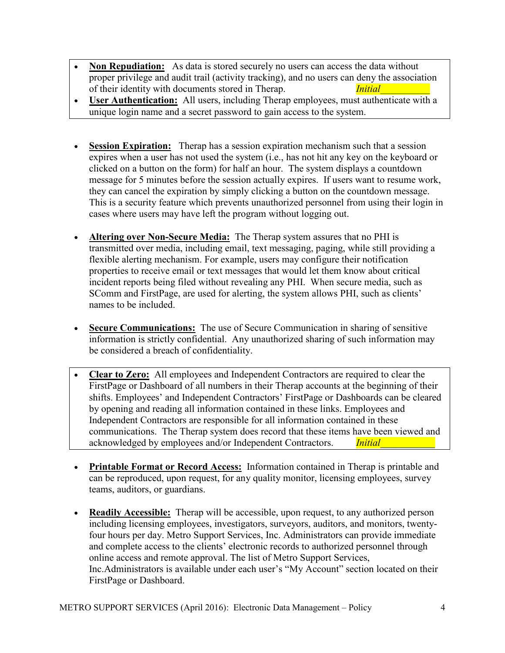- **Non Repudiation:** As data is stored securely no users can access the data without proper privilege and audit trail (activity tracking), and no users can deny the association of their identity with documents stored in Therap. *Initial*
- **User Authentication:** All users, including Therap employees, must authenticate with a unique login name and a secret password to gain access to the system.
- **Session Expiration:** Therap has a session expiration mechanism such that a session expires when a user has not used the system (i.e., has not hit any key on the keyboard or clicked on a button on the form) for half an hour. The system displays a countdown message for 5 minutes before the session actually expires. If users want to resume work, they can cancel the expiration by simply clicking a button on the countdown message. This is a security feature which prevents unauthorized personnel from using their login in cases where users may have left the program without logging out.
- **Altering over Non-Secure Media:** The Therap system assures that no PHI is transmitted over media, including email, text messaging, paging, while still providing a flexible alerting mechanism. For example, users may configure their notification properties to receive email or text messages that would let them know about critical incident reports being filed without revealing any PHI. When secure media, such as SComm and FirstPage, are used for alerting, the system allows PHI, such as clients' names to be included.
- **Secure Communications:** The use of Secure Communication in sharing of sensitive information is strictly confidential. Any unauthorized sharing of such information may be considered a breach of confidentiality.
- **Clear to Zero:** All employees and Independent Contractors are required to clear the FirstPage or Dashboard of all numbers in their Therap accounts at the beginning of their shifts. Employees' and Independent Contractors' FirstPage or Dashboards can be cleared by opening and reading all information contained in these links. Employees and Independent Contractors are responsible for all information contained in these communications. The Therap system does record that these items have been viewed and acknowledged by employees and/or Independent Contractors. *Initial*
- **Printable Format or Record Access:** Information contained in Therap is printable and can be reproduced, upon request, for any quality monitor, licensing employees, survey teams, auditors, or guardians.
- **Readily Accessible:** Therap will be accessible, upon request, to any authorized person including licensing employees, investigators, surveyors, auditors, and monitors, twentyfour hours per day. Metro Support Services, Inc. Administrators can provide immediate and complete access to the clients' electronic records to authorized personnel through online access and remote approval. The list of Metro Support Services, Inc.Administrators is available under each user's "My Account" section located on their FirstPage or Dashboard.